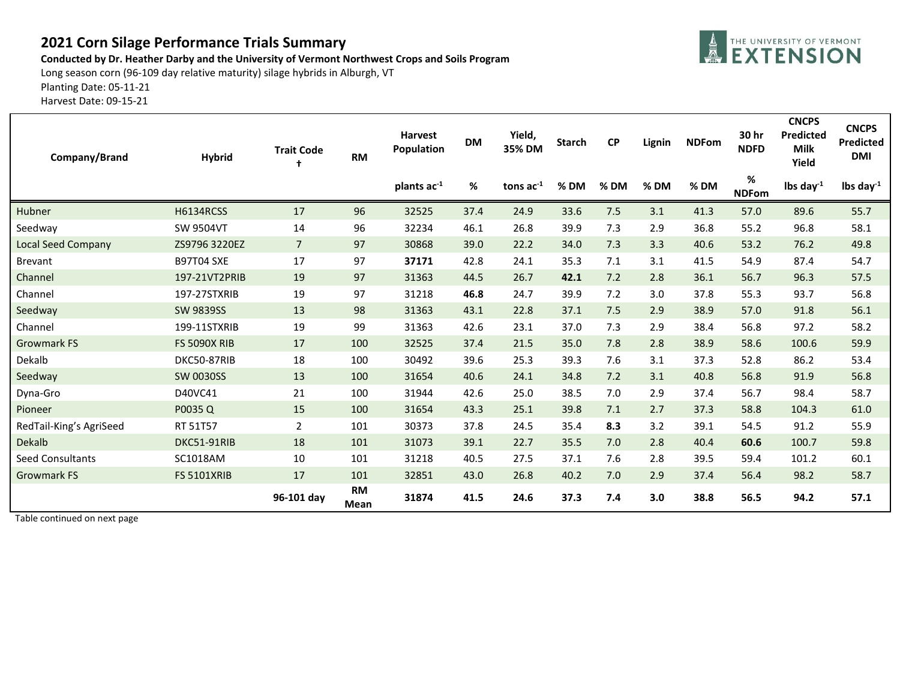## **2021 Corn Silage Performance Trials Summary**

**Conducted by Dr. Heather Darby and the University of Vermont Northwest Crops and Soils Program**

Long season corn (96-109 day relative maturity) silage hybrids in Alburgh, VT

Planting Date: 05-11-21

Harvest Date: 09-15-21

| Company/Brand             | <b>Hybrid</b>       | <b>Trait Code</b><br>1 | <b>RM</b>         | <b>Harvest</b><br>Population | <b>DM</b> | Yield,<br>35% DM | <b>Starch</b> | <b>CP</b> | Lignin | <b>NDFom</b> | 30 hr<br><b>NDFD</b> | <b>CNCPS</b><br>Predicted<br><b>Milk</b><br>Yield | <b>CNCPS</b><br>Predicted<br><b>DMI</b> |
|---------------------------|---------------------|------------------------|-------------------|------------------------------|-----------|------------------|---------------|-----------|--------|--------------|----------------------|---------------------------------------------------|-----------------------------------------|
|                           |                     |                        |                   | plants ac <sup>-1</sup>      | %         | tons $ac-1$      | % DM          | $%$ DM    | $%$ DM | %DM          | %<br><b>NDFom</b>    | lbs day $^{-1}$                                   | lbs day $^{-1}$                         |
| Hubner                    | <b>H6134RCSS</b>    | 17                     | 96                | 32525                        | 37.4      | 24.9             | 33.6          | 7.5       | 3.1    | 41.3         | 57.0                 | 89.6                                              | 55.7                                    |
| Seedway                   | <b>SW 9504VT</b>    | 14                     | 96                | 32234                        | 46.1      | 26.8             | 39.9          | 7.3       | 2.9    | 36.8         | 55.2                 | 96.8                                              | 58.1                                    |
| <b>Local Seed Company</b> | ZS9796 3220EZ       | $\overline{7}$         | 97                | 30868                        | 39.0      | 22.2             | 34.0          | 7.3       | 3.3    | 40.6         | 53.2                 | 76.2                                              | 49.8                                    |
| <b>Brevant</b>            | <b>B97T04 SXE</b>   | 17                     | 97                | 37171                        | 42.8      | 24.1             | 35.3          | 7.1       | 3.1    | 41.5         | 54.9                 | 87.4                                              | 54.7                                    |
| Channel                   | 197-21VT2PRIB       | 19                     | 97                | 31363                        | 44.5      | 26.7             | 42.1          | 7.2       | 2.8    | 36.1         | 56.7                 | 96.3                                              | 57.5                                    |
| Channel                   | 197-27STXRIB        | 19                     | 97                | 31218                        | 46.8      | 24.7             | 39.9          | 7.2       | 3.0    | 37.8         | 55.3                 | 93.7                                              | 56.8                                    |
| Seedway                   | <b>SW 9839SS</b>    | 13                     | 98                | 31363                        | 43.1      | 22.8             | 37.1          | 7.5       | 2.9    | 38.9         | 57.0                 | 91.8                                              | 56.1                                    |
| Channel                   | 199-11STXRIB        | 19                     | 99                | 31363                        | 42.6      | 23.1             | 37.0          | 7.3       | 2.9    | 38.4         | 56.8                 | 97.2                                              | 58.2                                    |
| <b>Growmark FS</b>        | <b>FS 5090X RIB</b> | 17                     | 100               | 32525                        | 37.4      | 21.5             | 35.0          | 7.8       | 2.8    | 38.9         | 58.6                 | 100.6                                             | 59.9                                    |
| Dekalb                    | DKC50-87RIB         | 18                     | 100               | 30492                        | 39.6      | 25.3             | 39.3          | 7.6       | 3.1    | 37.3         | 52.8                 | 86.2                                              | 53.4                                    |
| Seedway                   | <b>SW 0030SS</b>    | 13                     | 100               | 31654                        | 40.6      | 24.1             | 34.8          | 7.2       | 3.1    | 40.8         | 56.8                 | 91.9                                              | 56.8                                    |
| Dyna-Gro                  | D40VC41             | 21                     | 100               | 31944                        | 42.6      | 25.0             | 38.5          | 7.0       | 2.9    | 37.4         | 56.7                 | 98.4                                              | 58.7                                    |
| Pioneer                   | P0035Q              | 15                     | 100               | 31654                        | 43.3      | 25.1             | 39.8          | 7.1       | 2.7    | 37.3         | 58.8                 | 104.3                                             | 61.0                                    |
| RedTail-King's AgriSeed   | RT 51T57            | 2                      | 101               | 30373                        | 37.8      | 24.5             | 35.4          | 8.3       | 3.2    | 39.1         | 54.5                 | 91.2                                              | 55.9                                    |
| Dekalb                    | DKC51-91RIB         | 18                     | 101               | 31073                        | 39.1      | 22.7             | 35.5          | 7.0       | 2.8    | 40.4         | 60.6                 | 100.7                                             | 59.8                                    |
| <b>Seed Consultants</b>   | SC1018AM            | 10                     | 101               | 31218                        | 40.5      | 27.5             | 37.1          | 7.6       | 2.8    | 39.5         | 59.4                 | 101.2                                             | 60.1                                    |
| <b>Growmark FS</b>        | <b>FS 5101XRIB</b>  | 17                     | 101               | 32851                        | 43.0      | 26.8             | 40.2          | 7.0       | 2.9    | 37.4         | 56.4                 | 98.2                                              | 58.7                                    |
|                           |                     | 96-101 day             | <b>RM</b><br>Mean | 31874                        | 41.5      | 24.6             | 37.3          | 7.4       | 3.0    | 38.8         | 56.5                 | 94.2                                              | 57.1                                    |

Table continued on next page